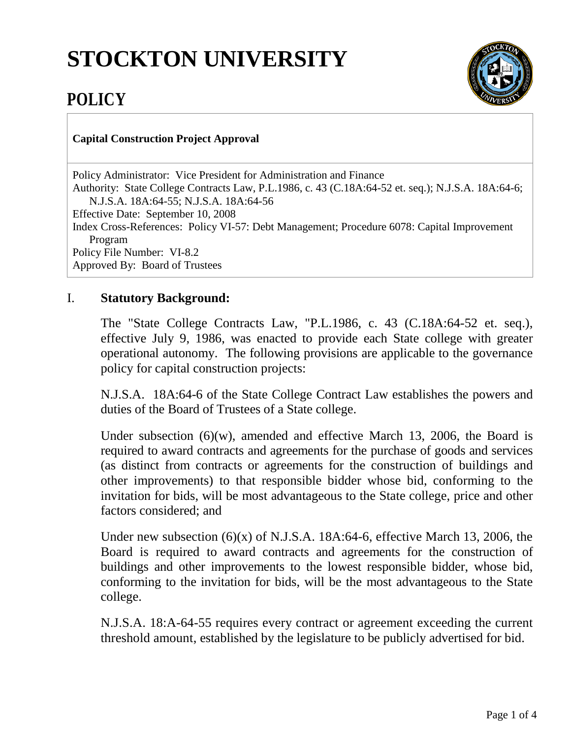## **STOCKTON UNIVERSITY**



## **POLICY**

## **Capital Construction Project Approval**

Policy Administrator: Vice President for Administration and Finance Authority: State College Contracts Law, P.L.1986, c. 43 (C.18A:64-52 et. seq.); N.J.S.A. 18A:64-6; N.J.S.A. 18A:64-55; N.J.S.A. 18A:64-56 Effective Date: September 10, 2008 Index Cross-References: Policy VI-57: Debt Management; Procedure 6078: Capital Improvement Program Policy File Number: VI-8.2 Approved By: Board of Trustees

## I. **Statutory Background:**

The "State College Contracts Law, "P.L.1986, c. 43 (C.18A:64-52 et. seq.), effective July 9, 1986, was enacted to provide each State college with greater operational autonomy. The following provisions are applicable to the governance policy for capital construction projects:

N.J.S.A. 18A:64-6 of the State College Contract Law establishes the powers and duties of the Board of Trustees of a State college.

Under subsection (6)(w), amended and effective March 13, 2006, the Board is required to award contracts and agreements for the purchase of goods and services (as distinct from contracts or agreements for the construction of buildings and other improvements) to that responsible bidder whose bid, conforming to the invitation for bids, will be most advantageous to the State college, price and other factors considered; and

Under new subsection (6)(x) of N.J.S.A. 18A:64-6, effective March 13, 2006, the Board is required to award contracts and agreements for the construction of buildings and other improvements to the lowest responsible bidder, whose bid, conforming to the invitation for bids, will be the most advantageous to the State college.

N.J.S.A. 18:A-64-55 requires every contract or agreement exceeding the current threshold amount, established by the legislature to be publicly advertised for bid.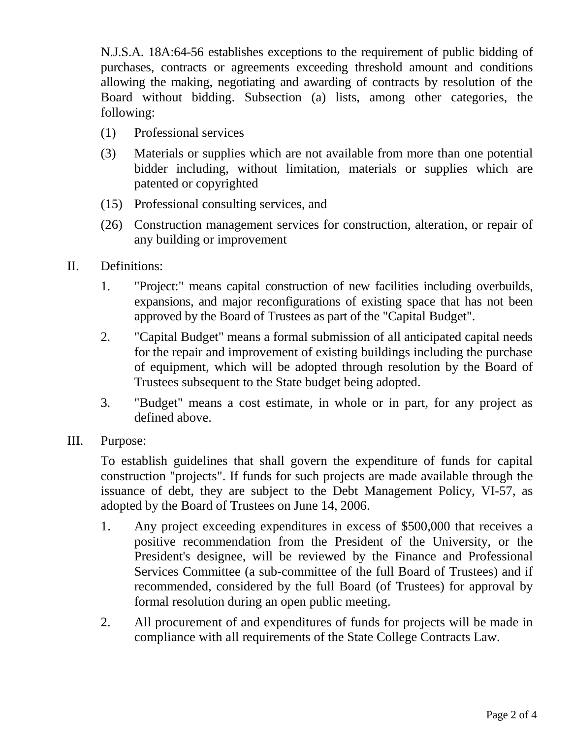N.J.S.A. 18A:64-56 establishes exceptions to the requirement of public bidding of purchases, contracts or agreements exceeding threshold amount and conditions allowing the making, negotiating and awarding of contracts by resolution of the Board without bidding. Subsection (a) lists, among other categories, the following:

- (1) Professional services
- (3) Materials or supplies which are not available from more than one potential bidder including, without limitation, materials or supplies which are patented or copyrighted
- (15) Professional consulting services, and
- (26) Construction management services for construction, alteration, or repair of any building or improvement
- II. Definitions:
	- 1. "Project:" means capital construction of new facilities including overbuilds, expansions, and major reconfigurations of existing space that has not been approved by the Board of Trustees as part of the "Capital Budget".
	- 2. "Capital Budget" means a formal submission of all anticipated capital needs for the repair and improvement of existing buildings including the purchase of equipment, which will be adopted through resolution by the Board of Trustees subsequent to the State budget being adopted.
	- 3. "Budget" means a cost estimate, in whole or in part, for any project as defined above.
- III. Purpose:

To establish guidelines that shall govern the expenditure of funds for capital construction "projects". If funds for such projects are made available through the issuance of debt, they are subject to the Debt Management Policy, VI-57, as adopted by the Board of Trustees on June 14, 2006.

- 1. Any project exceeding expenditures in excess of \$500,000 that receives a positive recommendation from the President of the University, or the President's designee, will be reviewed by the Finance and Professional Services Committee (a sub-committee of the full Board of Trustees) and if recommended, considered by the full Board (of Trustees) for approval by formal resolution during an open public meeting.
- 2. All procurement of and expenditures of funds for projects will be made in compliance with all requirements of the State College Contracts Law.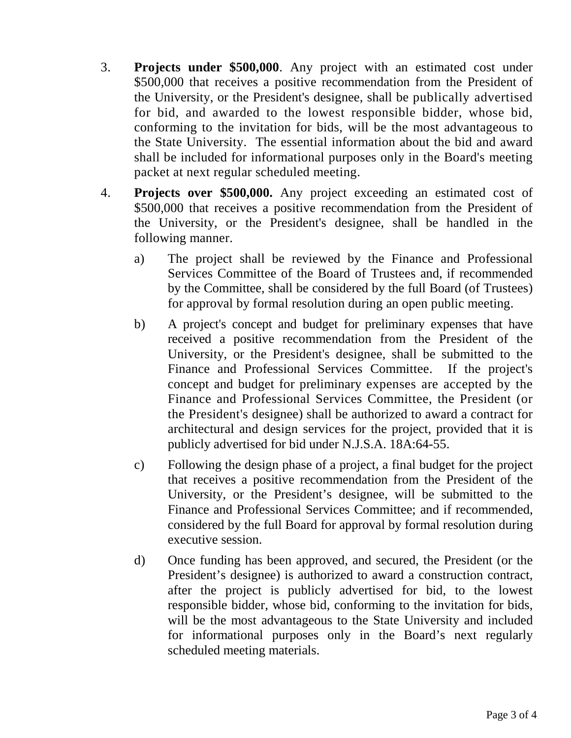- 3. **Projects under \$500,000**. Any project with an estimated cost under \$500,000 that receives a positive recommendation from the President of the University, or the President's designee, shall be publically advertised for bid, and awarded to the lowest responsible bidder, whose bid, conforming to the invitation for bids, will be the most advantageous to the State University. The essential information about the bid and award shall be included for informational purposes only in the Board's meeting packet at next regular scheduled meeting.
- 4. **Projects over \$500,000.** Any project exceeding an estimated cost of \$500,000 that receives a positive recommendation from the President of the University, or the President's designee, shall be handled in the following manner.
	- a) The project shall be reviewed by the Finance and Professional Services Committee of the Board of Trustees and, if recommended by the Committee, shall be considered by the full Board (of Trustees) for approval by formal resolution during an open public meeting.
	- b) A project's concept and budget for preliminary expenses that have received a positive recommendation from the President of the University, or the President's designee, shall be submitted to the Finance and Professional Services Committee. If the project's concept and budget for preliminary expenses are accepted by the Finance and Professional Services Committee, the President (or the President's designee) shall be authorized to award a contract for architectural and design services for the project, provided that it is publicly advertised for bid under N.J.S.A. 18A:64-55.
	- c) Following the design phase of a project, a final budget for the project that receives a positive recommendation from the President of the University, or the President's designee, will be submitted to the Finance and Professional Services Committee; and if recommended, considered by the full Board for approval by formal resolution during executive session.
	- d) Once funding has been approved, and secured, the President (or the President's designee) is authorized to award a construction contract, after the project is publicly advertised for bid, to the lowest responsible bidder, whose bid, conforming to the invitation for bids, will be the most advantageous to the State University and included for informational purposes only in the Board's next regularly scheduled meeting materials.